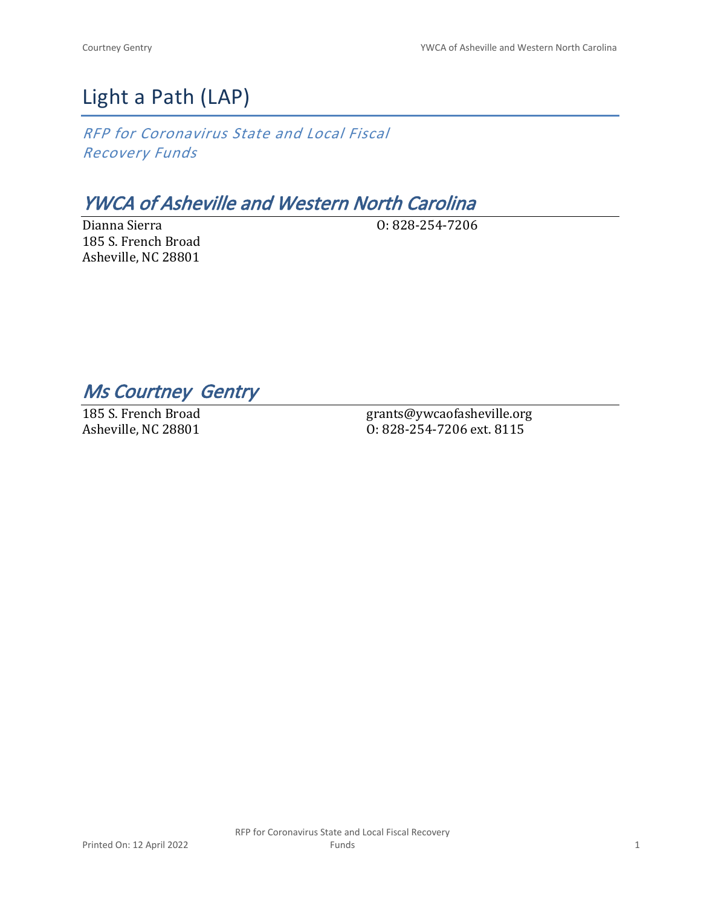# Light a Path (LAP)

*RFP for Coronavirus State and Local Fiscal Recovery Funds*

## *YWCA of Asheville and Western North Carolina*

Dianna Sierra 185 S. French Broad Asheville, NC 28801

O: 828-254-7206

*Ms Courtney Gentry* 

185 S. French Broad Asheville, NC 28801

grants@ywcaofasheville.org O: 828-254-7206 ext. 8115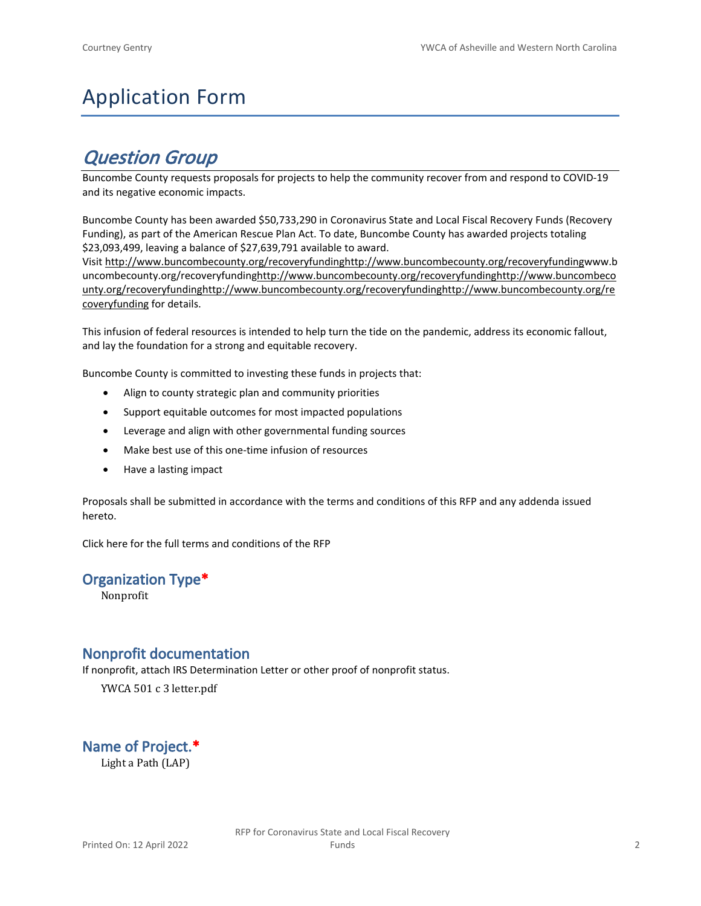# Application Form

## *Question Group*

Buncombe County requests proposals for projects to help the community recover from and respond to COVID-19 and its negative economic impacts.

Buncombe County has been awarded \$50,733,290 in Coronavirus State and Local Fiscal Recovery Funds (Recovery Funding), as part of the American Rescue Plan Act. To date, Buncombe County has awarded projects totaling \$23,093,499, leaving a balance of \$27,639,791 available to award.

Visit [http://www.buncombecounty.org/recoveryfundinghttp://www.buncombecounty.org/recoveryfundingwww.b](http://www.buncombecounty.org/recoveryfunding) [uncombecounty.org/recoveryfundinghttp://www.buncombecounty.org/recoveryfundinghttp://www.buncombeco](http://www.buncombecounty.org/recoveryfunding) [unty.org/recoveryfundinghttp://www.buncombecounty.org/recoveryfundinghttp://www.buncombecounty.org/re](http://www.buncombecounty.org/recoveryfunding) [coveryfunding](http://www.buncombecounty.org/recoveryfunding) for details.

This infusion of federal resources is intended to help turn the tide on the pandemic, address its economic fallout, and lay the foundation for a strong and equitable recovery.

Buncombe County is committed to investing these funds in projects that:

- Align to county strategic plan and community priorities
- Support equitable outcomes for most impacted populations
- Leverage and align with other governmental funding sources
- Make best use of this one-time infusion of resources
- Have a lasting impact

Proposals shall be submitted in accordance with the terms and conditions of this RFP and any addenda issued hereto.

Click [here](https://www.buncombecounty.org/common/purchasing/Buncombe%20Recovery%20Funding%20RFP%202022.pdf) for the full terms and conditions of the RFP

## **Organization Type\***

Nonprofit

## **Nonprofit documentation**

If nonprofit, attach IRS Determination Letter or other proof of nonprofit status.

YWCA 501 c 3 letter.pdf

**Name of Project.\*** Light a Path (LAP)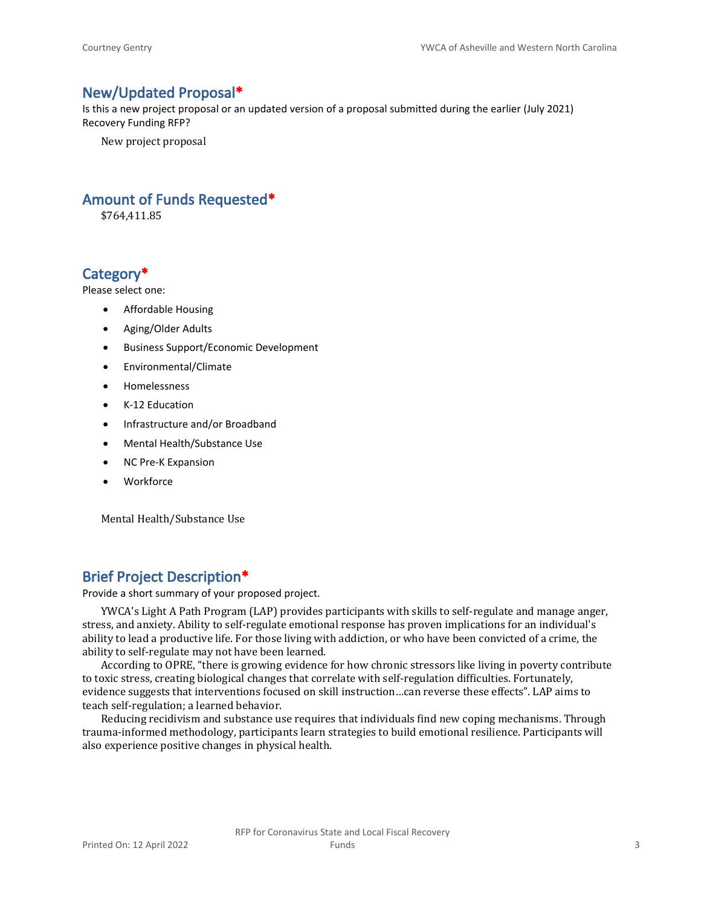## **New/Updated Proposal\***

Is this a new project proposal or an updated version of a proposal submitted during the earlier (July 2021) Recovery Funding RFP?

New project proposal

## **Amount of Funds Requested\***

\$764,411.85

## **Category\***

Please select one:

- Affordable Housing
- Aging/Older Adults
- Business Support/Economic Development
- Environmental/Climate
- Homelessness
- K-12 Education
- Infrastructure and/or Broadband
- Mental Health/Substance Use
- NC Pre-K Expansion
- Workforce

Mental Health/Substance Use

## **Brief Project Description\***

Provide a short summary of your proposed project.

YWCA's Light A Path Program (LAP) provides participants with skills to self-regulate and manage anger, stress, and anxiety. Ability to self-regulate emotional response has proven implications for an individual's ability to lead a productive life. For those living with addiction, or who have been convicted of a crime, the ability to self-regulate may not have been learned.

According to OPRE, "there is growing evidence for how chronic stressors like living in poverty contribute to toxic stress, creating biological changes that correlate with self-regulation difficulties. Fortunately, evidence suggests that interventions focused on skill instruction…can reverse these effects". LAP aims to teach self-regulation; a learned behavior.

Reducing recidivism and substance use requires that individuals find new coping mechanisms. Through trauma-informed methodology, participants learn strategies to build emotional resilience. Participants will also experience positive changes in physical health.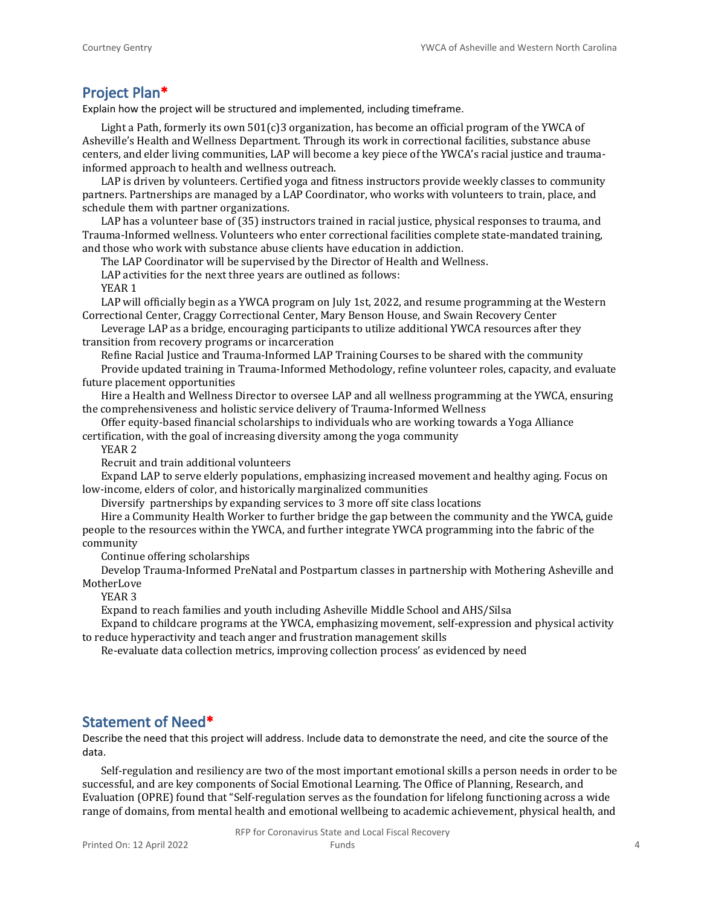## **Project Plan\***

Explain how the project will be structured and implemented, including timeframe.

Light a Path, formerly its own  $501(c)$ 3 organization, has become an official program of the YWCA of Asheville's Health and Wellness Department. Through its work in correctional facilities, substance abuse centers, and elder living communities, LAP will become a key piece of the YWCA's racial justice and traumainformed approach to health and wellness outreach.

LAP is driven by volunteers. Certified yoga and fitness instructors provide weekly classes to community partners. Partnerships are managed by a LAP Coordinator, who works with volunteers to train, place, and schedule them with partner organizations.

LAP has a volunteer base of (35) instructors trained in racial justice, physical responses to trauma, and Trauma-Informed wellness. Volunteers who enter correctional facilities complete state-mandated training, and those who work with substance abuse clients have education in addiction.

The LAP Coordinator will be supervised by the Director of Health and Wellness.

LAP activities for the next three years are outlined as follows:

YEAR 1

LAP will officially begin as a YWCA program on July 1st, 2022, and resume programming at the Western Correctional Center, Craggy Correctional Center, Mary Benson House, and Swain Recovery Center

Leverage LAP as a bridge, encouraging participants to utilize additional YWCA resources after they transition from recovery programs or incarceration

Refine Racial Justice and Trauma-Informed LAP Training Courses to be shared with the community Provide updated training in Trauma-Informed Methodology, refine volunteer roles, capacity, and evaluate future placement opportunities

Hire a Health and Wellness Director to oversee LAP and all wellness programming at the YWCA, ensuring the comprehensiveness and holistic service delivery of Trauma-Informed Wellness

Offer equity-based financial scholarships to individuals who are working towards a Yoga Alliance certification, with the goal of increasing diversity among the yoga community

YEAR 2

Recruit and train additional volunteers

Expand LAP to serve elderly populations, emphasizing increased movement and healthy aging. Focus on low-income, elders of color, and historically marginalized communities

Diversify partnerships by expanding services to 3 more off site class locations

Hire a Community Health Worker to further bridge the gap between the community and the YWCA, guide people to the resources within the YWCA, and further integrate YWCA programming into the fabric of the community

Continue offering scholarships

Develop Trauma-Informed PreNatal and Postpartum classes in partnership with Mothering Asheville and MotherLove

YEAR 3

Expand to reach families and youth including Asheville Middle School and AHS/Silsa

Expand to childcare programs at the YWCA, emphasizing movement, self-expression and physical activity to reduce hyperactivity and teach anger and frustration management skills

Re-evaluate data collection metrics, improving collection process' as evidenced by need

## **Statement of Need\***

Describe the need that this project will address. Include data to demonstrate the need, and cite the source of the data.

Self-regulation and resiliency are two of the most important emotional skills a person needs in order to be successful, and are key components of Social Emotional Learning. The Office of Planning, Research, and Evaluation (OPRE) found that "Self-regulation serves as the foundation for lifelong functioning across a wide range of domains, from mental health and emotional wellbeing to academic achievement, physical health, and

RFP for Coronavirus State and Local Fiscal Recovery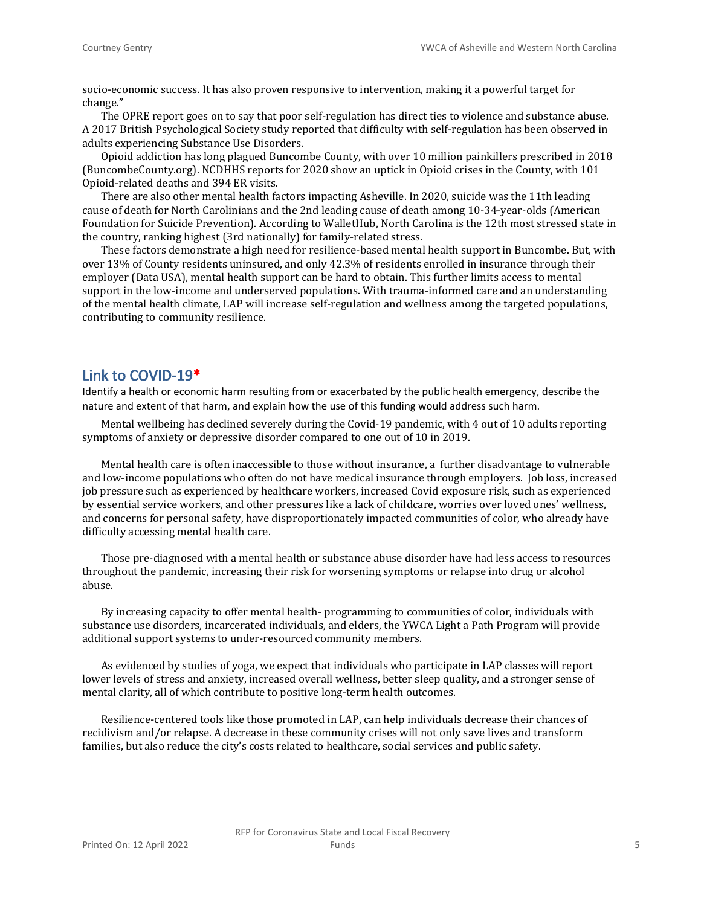socio-economic success. It has also proven responsive to intervention, making it a powerful target for change."

The OPRE report goes on to say that poor self-regulation has direct ties to violence and substance abuse. A 2017 British Psychological Society study reported that difficulty with self-regulation has been observed in adults experiencing Substance Use Disorders.

Opioid addiction has long plagued Buncombe County, with over 10 million painkillers prescribed in 2018 (BuncombeCounty.org). NCDHHS reports for 2020 show an uptick in Opioid crises in the County, with 101 Opioid-related deaths and 394 ER visits.

There are also other mental health factors impacting Asheville. In 2020, suicide was the 11th leading cause of death for North Carolinians and the 2nd leading cause of death among 10-34-year-olds (American Foundation for Suicide Prevention). According to WalletHub, North Carolina is the 12th most stressed state in the country, ranking highest (3rd nationally) for family-related stress.

These factors demonstrate a high need for resilience-based mental health support in Buncombe. But, with over 13% of County residents uninsured, and only 42.3% of residents enrolled in insurance through their employer (Data USA), mental health support can be hard to obtain. This further limits access to mental support in the low-income and underserved populations. With trauma-informed care and an understanding of the mental health climate, LAP will increase self-regulation and wellness among the targeted populations, contributing to community resilience.

## **Link to COVID-19\***

Identify a health or economic harm resulting from or exacerbated by the public health emergency, describe the nature and extent of that harm, and explain how the use of this funding would address such harm.

Mental wellbeing has declined severely during the Covid-19 pandemic, with 4 out of 10 adults reporting symptoms of anxiety or depressive disorder compared to one out of 10 in 2019.

Mental health care is often inaccessible to those without insurance, a further disadvantage to vulnerable and low-income populations who often do not have medical insurance through employers. Job loss, increased job pressure such as experienced by healthcare workers, increased Covid exposure risk, such as experienced by essential service workers, and other pressures like a lack of childcare, worries over loved ones' wellness, and concerns for personal safety, have disproportionately impacted communities of color, who already have difficulty accessing mental health care.

Those pre-diagnosed with a mental health or substance abuse disorder have had less access to resources throughout the pandemic, increasing their risk for worsening symptoms or relapse into drug or alcohol abuse.

By increasing capacity to offer mental health- programming to communities of color, individuals with substance use disorders, incarcerated individuals, and elders, the YWCA Light a Path Program will provide additional support systems to under-resourced community members.

As evidenced by studies of yoga, we expect that individuals who participate in LAP classes will report lower levels of stress and anxiety, increased overall wellness, better sleep quality, and a stronger sense of mental clarity, all of which contribute to positive long-term health outcomes.

Resilience-centered tools like those promoted in LAP, can help individuals decrease their chances of recidivism and/or relapse. A decrease in these community crises will not only save lives and transform families, but also reduce the city's costs related to healthcare, social services and public safety.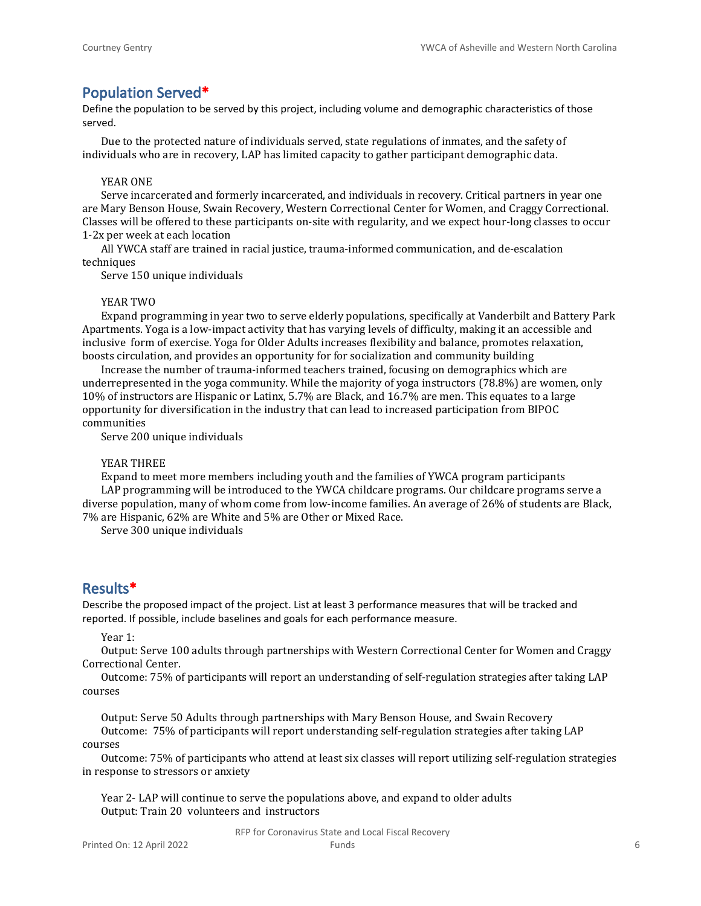## **Population Served\***

Define the population to be served by this project, including volume and demographic characteristics of those served.

Due to the protected nature of individuals served, state regulations of inmates, and the safety of individuals who are in recovery, LAP has limited capacity to gather participant demographic data.

#### YEAR ONE

Serve incarcerated and formerly incarcerated, and individuals in recovery. Critical partners in year one are Mary Benson House, Swain Recovery, Western Correctional Center for Women, and Craggy Correctional. Classes will be offered to these participants on-site with regularity, and we expect hour-long classes to occur 1-2x per week at each location

All YWCA staff are trained in racial justice, trauma-informed communication, and de-escalation techniques

Serve 150 unique individuals

#### YEAR TWO

Expand programming in year two to serve elderly populations, specifically at Vanderbilt and Battery Park Apartments. Yoga is a low-impact activity that has varying levels of difficulty, making it an accessible and inclusive form of exercise. Yoga for Older Adults increases flexibility and balance, promotes relaxation, boosts circulation, and provides an opportunity for for socialization and community building

Increase the number of trauma-informed teachers trained, focusing on demographics which are underrepresented in the yoga community. While the majority of yoga instructors (78.8%) are women, only 10% of instructors are Hispanic or Latinx, 5.7% are Black, and 16.7% are men. This equates to a large opportunity for diversification in the industry that can lead to increased participation from BIPOC communities

Serve 200 unique individuals

#### YEAR THREE

Expand to meet more members including youth and the families of YWCA program participants LAP programming will be introduced to the YWCA childcare programs. Our childcare programs serve a diverse population, many of whom come from low-income families. An average of 26% of students are Black, 7% are Hispanic, 62% are White and 5% are Other or Mixed Race.

Serve 300 unique individuals

## **Results\***

Describe the proposed impact of the project. List at least 3 performance measures that will be tracked and reported. If possible, include baselines and goals for each performance measure.

Year 1:

Output: Serve 100 adults through partnerships with Western Correctional Center for Women and Craggy Correctional Center.

Outcome: 75% of participants will report an understanding of self-regulation strategies after taking LAP courses

Output: Serve 50 Adults through partnerships with Mary Benson House, and Swain Recovery Outcome: 75% of participants will report understanding self-regulation strategies after taking LAP courses

Outcome: 75% of participants who attend at least six classes will report utilizing self-regulation strategies in response to stressors or anxiety

Year 2- LAP will continue to serve the populations above, and expand to older adults Output: Train 20 volunteers and instructors

> RFP for Coronavirus State and Local Fiscal Recovery Funds 6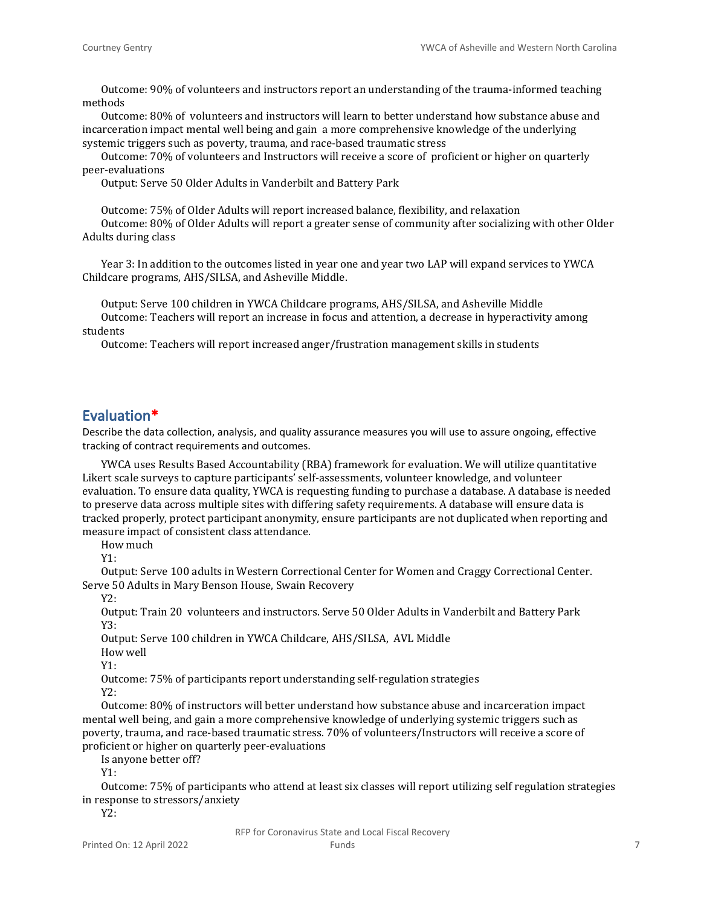Outcome: 90% of volunteers and instructors report an understanding of the trauma-informed teaching methods

Outcome: 80% of volunteers and instructors will learn to better understand how substance abuse and incarceration impact mental well being and gain a more comprehensive knowledge of the underlying systemic triggers such as poverty, trauma, and race-based traumatic stress

Outcome: 70% of volunteers and Instructors will receive a score of proficient or higher on quarterly peer-evaluations

Output: Serve 50 Older Adults in Vanderbilt and Battery Park

Outcome: 75% of Older Adults will report increased balance, flexibility, and relaxation Outcome: 80% of Older Adults will report a greater sense of community after socializing with other Older Adults during class

Year 3: In addition to the outcomes listed in year one and year two LAP will expand services to YWCA Childcare programs, AHS/SILSA, and Asheville Middle.

Output: Serve 100 children in YWCA Childcare programs, AHS/SILSA, and Asheville Middle Outcome: Teachers will report an increase in focus and attention, a decrease in hyperactivity among students

Outcome: Teachers will report increased anger/frustration management skills in students

## **Evaluation\***

Describe the data collection, analysis, and quality assurance measures you will use to assure ongoing, effective tracking of contract requirements and outcomes.

YWCA uses Results Based Accountability (RBA) framework for evaluation. We will utilize quantitative Likert scale surveys to capture participants' self-assessments, volunteer knowledge, and volunteer evaluation. To ensure data quality, YWCA is requesting funding to purchase a database. A database is needed to preserve data across multiple sites with differing safety requirements. A database will ensure data is tracked properly, protect participant anonymity, ensure participants are not duplicated when reporting and measure impact of consistent class attendance.

How much

Y1:

Output: Serve 100 adults in Western Correctional Center for Women and Craggy Correctional Center. Serve 50 Adults in Mary Benson House, Swain Recovery

Y2:

Output: Train 20 volunteers and instructors. Serve 50 Older Adults in Vanderbilt and Battery Park Y3:

Output: Serve 100 children in YWCA Childcare, AHS/SILSA, AVL Middle

How well

 $Y1$ 

Outcome: 75% of participants report understanding self-regulation strategies Y2:

Outcome: 80% of instructors will better understand how substance abuse and incarceration impact mental well being, and gain a more comprehensive knowledge of underlying systemic triggers such as poverty, trauma, and race-based traumatic stress. 70% of volunteers/Instructors will receive a score of proficient or higher on quarterly peer-evaluations

Is anyone better off?

Y1:

Outcome: 75% of participants who attend at least six classes will report utilizing self regulation strategies in response to stressors/anxiety

Y2: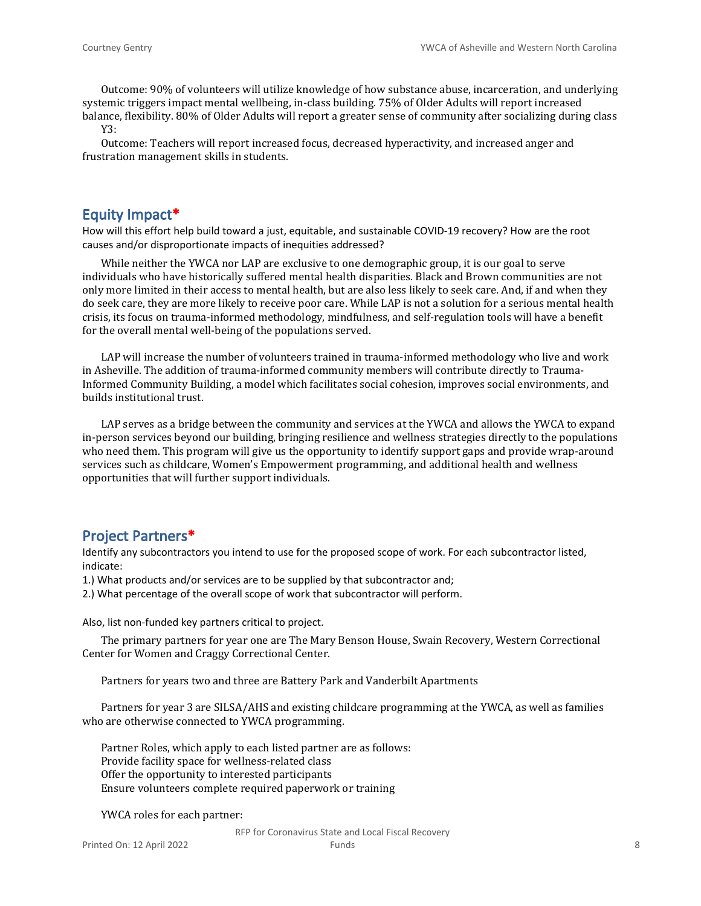Outcome: 90% of volunteers will utilize knowledge of how substance abuse, incarceration, and underlying systemic triggers impact mental wellbeing, in-class building. 75% of Older Adults will report increased balance, flexibility. 80% of Older Adults will report a greater sense of community after socializing during class

Y3:

Outcome: Teachers will report increased focus, decreased hyperactivity, and increased anger and frustration management skills in students.

## **Equity Impact\***

How will this effort help build toward a just, equitable, and sustainable COVID-19 recovery? How are the root causes and/or disproportionate impacts of inequities addressed?

While neither the YWCA nor LAP are exclusive to one demographic group, it is our goal to serve individuals who have historically suffered mental health disparities. Black and Brown communities are not only more limited in their access to mental health, but are also less likely to seek care. And, if and when they do seek care, they are more likely to receive poor care. While LAP is not a solution for a serious mental health crisis, its focus on trauma-informed methodology, mindfulness, and self-regulation tools will have a benefit for the overall mental well-being of the populations served.

LAP will increase the number of volunteers trained in trauma-informed methodology who live and work in Asheville. The addition of trauma-informed community members will contribute directly to Trauma-Informed Community Building, a model which facilitates social cohesion, improves social environments, and builds institutional trust.

LAP serves as a bridge between the community and services at the YWCA and allows the YWCA to expand in-person services beyond our building, bringing resilience and wellness strategies directly to the populations who need them. This program will give us the opportunity to identify support gaps and provide wrap-around services such as childcare, Women's Empowerment programming, and additional health and wellness opportunities that will further support individuals.

## **Project Partners\***

Identify any subcontractors you intend to use for the proposed scope of work. For each subcontractor listed, indicate:

1.) What products and/or services are to be supplied by that subcontractor and;

2.) What percentage of the overall scope of work that subcontractor will perform.

Also, list non-funded key partners critical to project.

The primary partners for year one are The Mary Benson House, Swain Recovery, Western Correctional Center for Women and Craggy Correctional Center.

Partners for years two and three are Battery Park and Vanderbilt Apartments

Partners for year 3 are SILSA/AHS and existing childcare programming at the YWCA, as well as families who are otherwise connected to YWCA programming.

Partner Roles, which apply to each listed partner are as follows: Provide facility space for wellness-related class Offer the opportunity to interested participants Ensure volunteers complete required paperwork or training

YWCA roles for each partner:

RFP for Coronavirus State and Local Fiscal Recovery **Funds** 8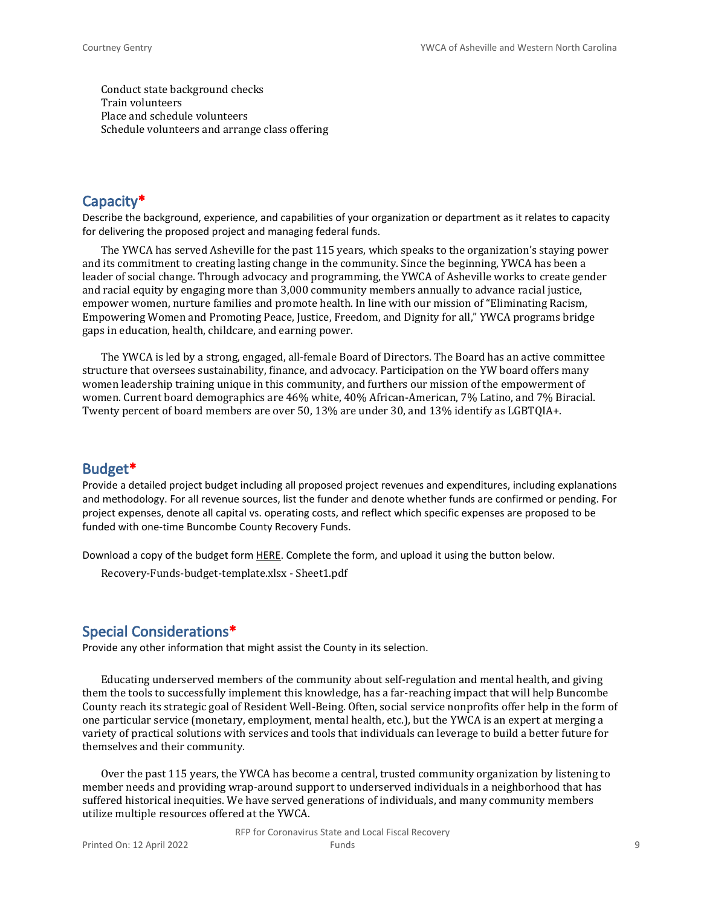Conduct state background checks Train volunteers Place and schedule volunteers Schedule volunteers and arrange class offering

## **Capacity\***

Describe the background, experience, and capabilities of your organization or department as it relates to capacity for delivering the proposed project and managing federal funds.

The YWCA has served Asheville for the past 115 years, which speaks to the organization's staying power and its commitment to creating lasting change in the community. Since the beginning, YWCA has been a leader of social change. Through advocacy and programming, the YWCA of Asheville works to create gender and racial equity by engaging more than 3,000 community members annually to advance racial justice, empower women, nurture families and promote health. In line with our mission of "Eliminating Racism, Empowering Women and Promoting Peace, Justice, Freedom, and Dignity for all," YWCA programs bridge gaps in education, health, childcare, and earning power.

The YWCA is led by a strong, engaged, all-female Board of Directors. The Board has an active committee structure that oversees sustainability, finance, and advocacy. Participation on the YW board offers many women leadership training unique in this community, and furthers our mission of the empowerment of women. Current board demographics are 46% white, 40% African-American, 7% Latino, and 7% Biracial. Twenty percent of board members are over 50, 13% are under 30, and 13% identify as LGBTQIA+.

## **Budget\***

Provide a detailed project budget including all proposed project revenues and expenditures, including explanations and methodology. For all revenue sources, list the funder and denote whether funds are confirmed or pending. For project expenses, denote all capital vs. operating costs, and reflect which specific expenses are proposed to be funded with one-time Buncombe County Recovery Funds.

Download a copy of the budget form [HERE](https://buncombecounty.org/common/community-investment/grants/early-childhood-education/Recovery-Funds-budget-template.xlsx). Complete the form, and upload it using the button below.

Recovery-Funds-budget-template.xlsx - Sheet1.pdf

### **Special Considerations\***

Provide any other information that might assist the County in its selection.

Educating underserved members of the community about self-regulation and mental health, and giving them the tools to successfully implement this knowledge, has a far-reaching impact that will help Buncombe County reach its strategic goal of Resident Well-Being. Often, social service nonprofits offer help in the form of one particular service (monetary, employment, mental health, etc.), but the YWCA is an expert at merging a variety of practical solutions with services and tools that individuals can leverage to build a better future for themselves and their community.

Over the past 115 years, the YWCA has become a central, trusted community organization by listening to member needs and providing wrap-around support to underserved individuals in a neighborhood that has suffered historical inequities. We have served generations of individuals, and many community members utilize multiple resources offered at the YWCA.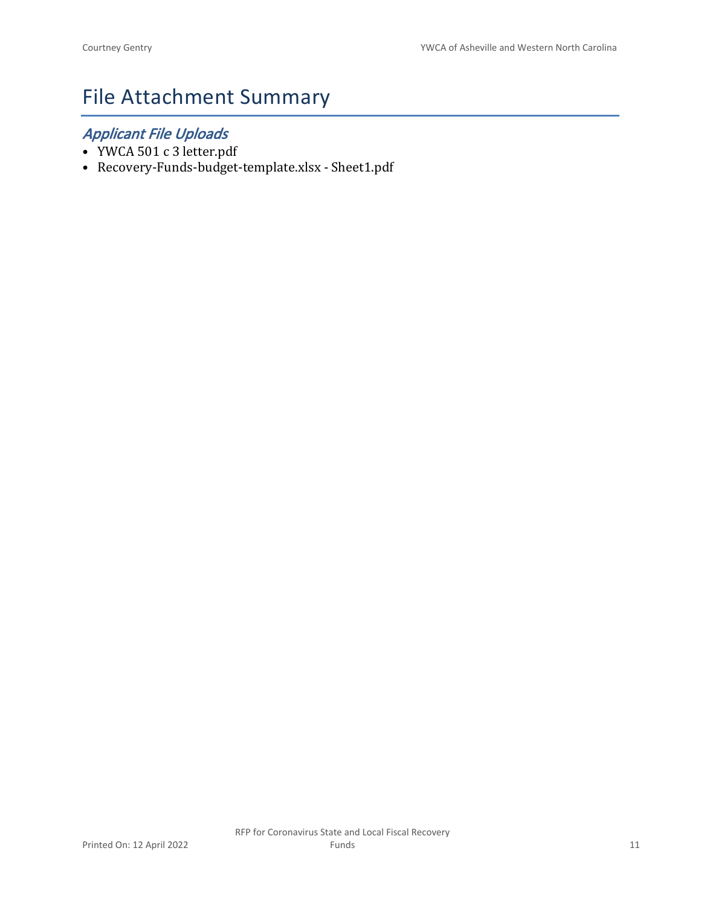# File Attachment Summary

## *Applicant File Uploads*

- YWCA 501 c 3 letter.pdf
- Recovery-Funds-budget-template.xlsx Sheet1.pdf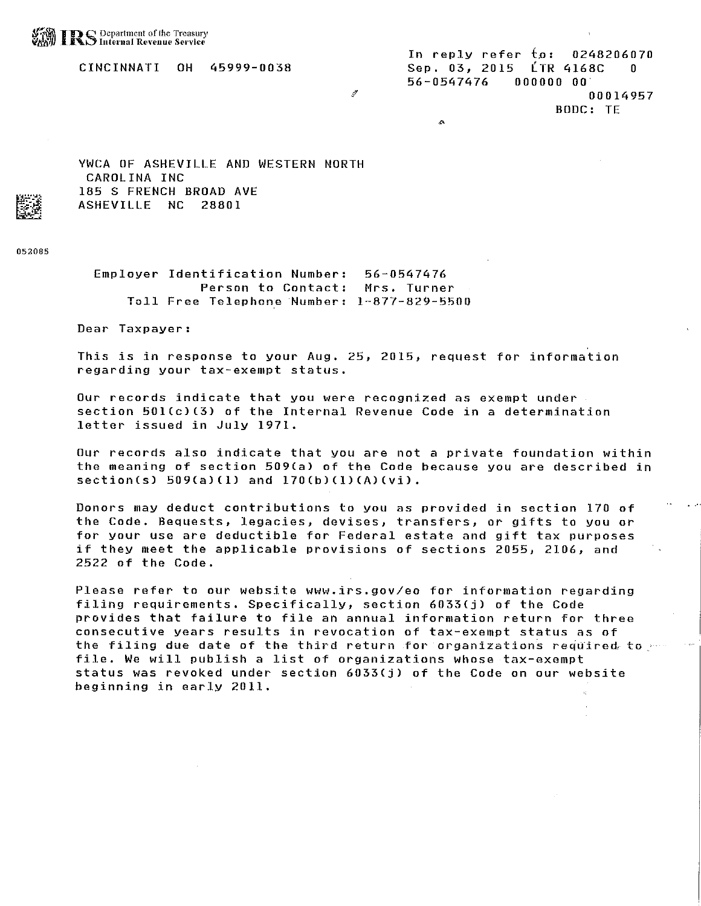CINCINNATI **OH** 45999-0038

YWCA OF ASHEVILLE AND WESTERN NORTH CAROLINA INC 185 S FRENCH BROAD AVE ASHEVILLE NC 28801

052085

Employer Identification Number:  $56 - 0547476$ Person to Contact: Mrs. Turner Toll Free Telephone Number: 1-877-829-5500

Dear Taxpayer:

This is in response to your Aug. 25, 2015, request for information regarding your tax-exempt status.

Our records indicate that you were recognized as exempt under. section 501(c)(3) of the Internal Revenue Code in a determination letter issued in July 1971.

Our records also indicate that you are not a private foundation within the meaning of section 509(a) of the Code because you are described in section(s)  $509(a)(1)$  and  $170(b)(1)(A)(vi)$ .

Donors may deduct contributions to you as provided in section 170 of the Code. Bequests, legacies, devises, transfers, or gifts to you or for your use are deductible for Federal estate and gift tax purposes if they meet the applicable provisions of sections 2055, 2106, and 2522 of the Code.

Please refer to our website www.irs.gov/eo for information regarding filing requirements. Specifically, section 6033(j) of the Code provides that failure to file an annual information return for three consecutive years results in revocation of tax-exempt status as of the filing due date of the third return for organizations required to file. We will publish a list of organizations whose tax-exempt status was revoked under section 6033(j) of the Code on our website beginning in early 2011.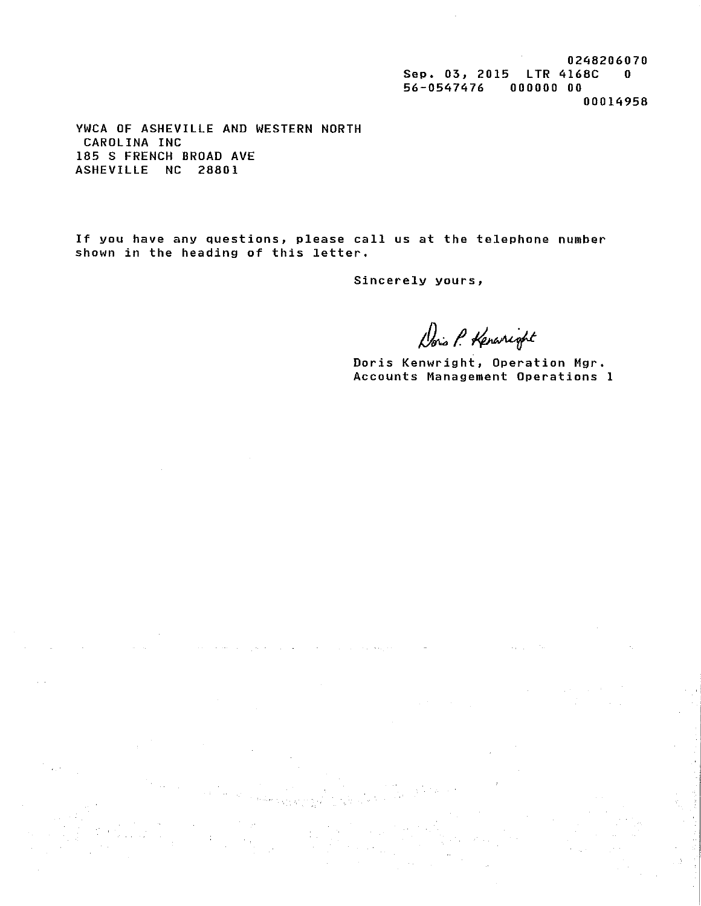0248206070 Sep. 03, 2015 LTR 4168C 0 56-0547476 000000 00 00014958

YWCA OF ASHEVILLE AND WESTERN NORTH CAROLINA INC 185 S FRENCH BROAD AVE ASHEVILLE NC 28801

If you have any questions, please call us at the telephone number shown in the heading of this letter.

Sincerely yours,

 $\hat{\phi}_{\alpha}$  is  $\hat{\phi}_{\alpha}$  .

Dois P. Kenaright

Doris Kenwright, Operation Mgr. Accounts Management Operations 1